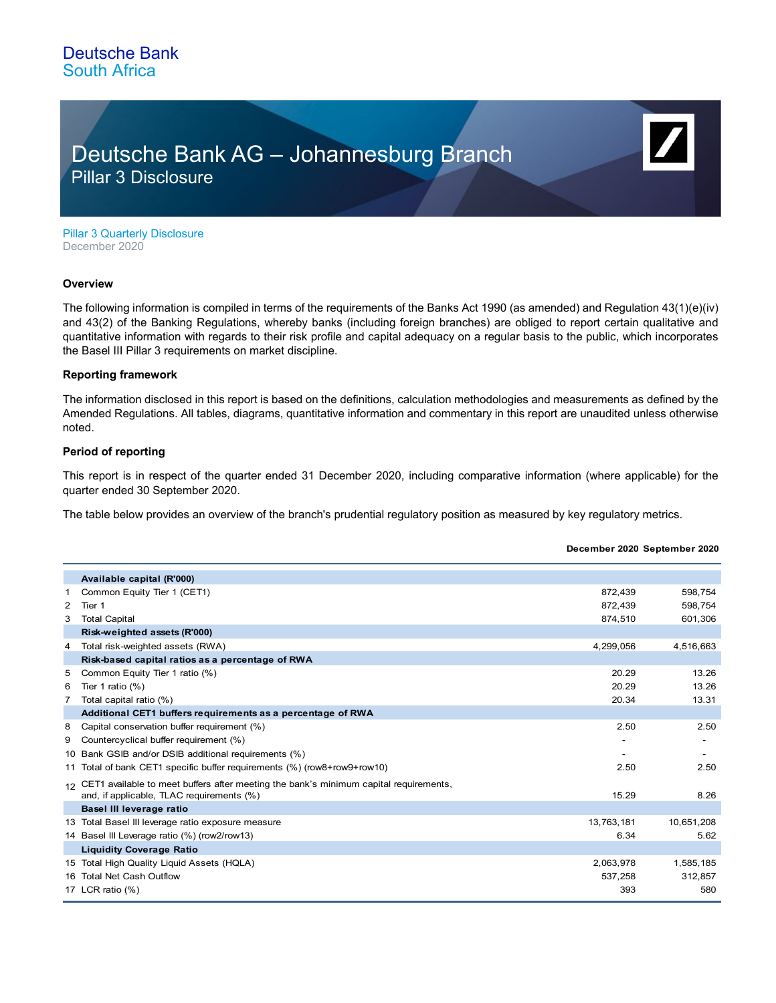## Deutsche Bank AG – Johannesburg Branch Pillar 3 Disclosure

**December 2020 September 2020**

Pillar 3 Quarterly Disclosure December 2020

#### **Overview**

The following information is compiled in terms of the requirements of the Banks Act 1990 (as amended) and Regulation 43(1)(e)(iv) and 43(2) of the Banking Regulations, whereby banks (including foreign branches) are obliged to report certain qualitative and quantitative information with regards to their risk profile and capital adequacy on a regular basis to the public, which incorporates the Basel III Pillar 3 requirements on market discipline.

#### **Reporting framework**

The information disclosed in this report is based on the definitions, calculation methodologies and measurements as defined by the Amended Regulations. All tables, diagrams, quantitative information and commentary in this report are unaudited unless otherwise noted.

### **Period of reporting**

This report is in respect of the quarter ended 31 December 2020, including comparative information (where applicable) for the quarter ended 30 September 2020.

The table below provides an overview of the branch's prudential regulatory position as measured by key regulatory metrics.

|   | Available capital (R'000)                                                                |            |            |
|---|------------------------------------------------------------------------------------------|------------|------------|
| 1 | Common Equity Tier 1 (CET1)                                                              | 872.439    | 598,754    |
| 2 | Tier 1                                                                                   | 872.439    | 598,754    |
| 3 | <b>Total Capital</b>                                                                     | 874.510    | 601,306    |
|   | Risk-weighted assets (R'000)                                                             |            |            |
| 4 | Total risk-weighted assets (RWA)                                                         | 4,299,056  | 4,516,663  |
|   | Risk-based capital ratios as a percentage of RWA                                         |            |            |
| 5 | Common Equity Tier 1 ratio (%)                                                           | 20.29      | 13.26      |
| 6 | Tier 1 ratio $(\%)$                                                                      | 20.29      | 13.26      |
| 7 | Total capital ratio (%)                                                                  | 20.34      | 13.31      |
|   | Additional CET1 buffers requirements as a percentage of RWA                              |            |            |
| 8 | Capital conservation buffer requirement (%)                                              | 2.50       | 2.50       |
| 9 | Countercyclical buffer requirement (%)                                                   |            |            |
|   | 10 Bank GSIB and/or DSIB additional requirements (%)                                     |            |            |
|   | 11 Total of bank CET1 specific buffer requirements (%) (row8+row9+row10)                 | 2.50       | 2.50       |
|   | 12 CET1 available to meet buffers after meeting the bank's minimum capital requirements, |            |            |
|   | and, if applicable, TLAC requirements (%)                                                | 15.29      | 8.26       |
|   | Basel III leverage ratio                                                                 |            |            |
|   | 13 Total Basel III leverage ratio exposure measure                                       | 13,763,181 | 10,651,208 |
|   | 14 Basel III Leverage ratio (%) (row2/row13)                                             | 6.34       | 5.62       |
|   | <b>Liquidity Coverage Ratio</b>                                                          |            |            |
|   | 15 Total High Quality Liguid Assets (HQLA)                                               | 2,063,978  | 1,585,185  |
|   | 16 Total Net Cash Outflow                                                                | 537,258    | 312,857    |
|   | 17 LCR ratio (%)                                                                         | 393        | 580        |
|   |                                                                                          |            |            |